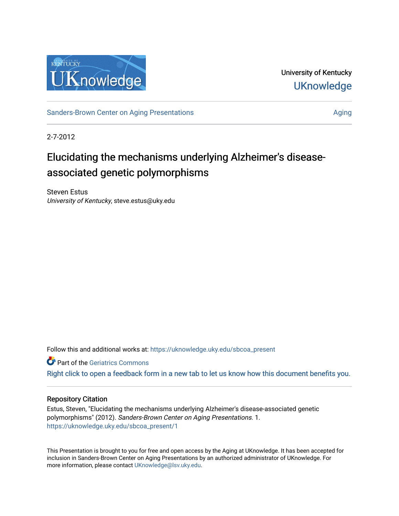

University of Kentucky **UKnowledge** 

[Sanders-Brown Center on Aging Presentations](https://uknowledge.uky.edu/sbcoa_present) **[Aging](https://uknowledge.uky.edu/sbcoa) Aging** Aging

2-7-2012

## Elucidating the mechanisms underlying Alzheimer's diseaseassociated genetic polymorphisms

Steven Estus University of Kentucky, steve.estus@uky.edu

Follow this and additional works at: [https://uknowledge.uky.edu/sbcoa\\_present](https://uknowledge.uky.edu/sbcoa_present?utm_source=uknowledge.uky.edu%2Fsbcoa_present%2F1&utm_medium=PDF&utm_campaign=PDFCoverPages) 

**Part of the Geriatrics Commons** 

[Right click to open a feedback form in a new tab to let us know how this document benefits you.](https://uky.az1.qualtrics.com/jfe/form/SV_9mq8fx2GnONRfz7)

#### Repository Citation

Estus, Steven, "Elucidating the mechanisms underlying Alzheimer's disease-associated genetic polymorphisms" (2012). Sanders-Brown Center on Aging Presentations. 1. [https://uknowledge.uky.edu/sbcoa\\_present/1](https://uknowledge.uky.edu/sbcoa_present/1?utm_source=uknowledge.uky.edu%2Fsbcoa_present%2F1&utm_medium=PDF&utm_campaign=PDFCoverPages)

This Presentation is brought to you for free and open access by the Aging at UKnowledge. It has been accepted for inclusion in Sanders-Brown Center on Aging Presentations by an authorized administrator of UKnowledge. For more information, please contact [UKnowledge@lsv.uky.edu](mailto:UKnowledge@lsv.uky.edu).